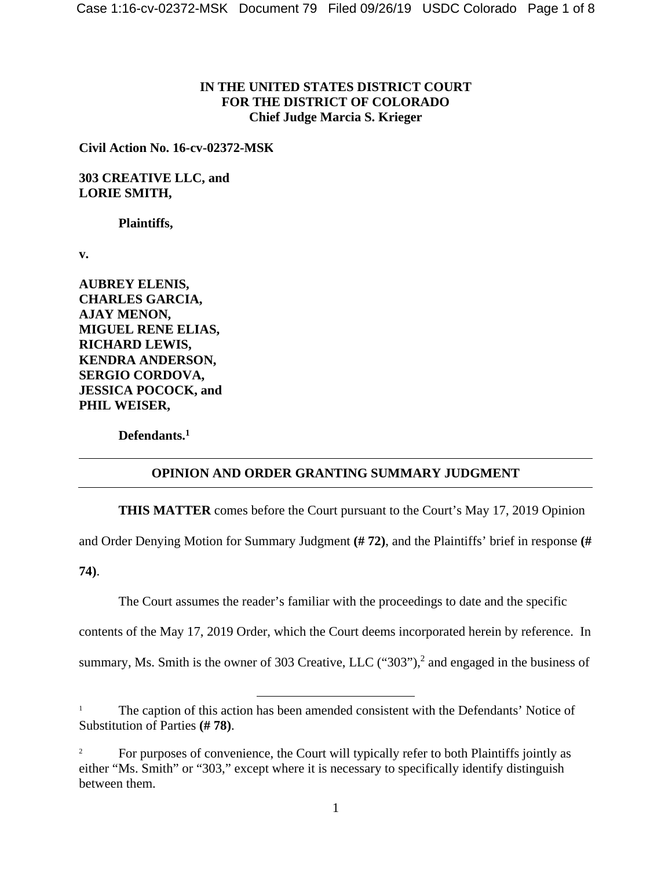## **IN THE UNITED STATES DISTRICT COURT FOR THE DISTRICT OF COLORADO Chief Judge Marcia S. Krieger**

**Civil Action No. 16-cv-02372-MSK** 

**303 CREATIVE LLC, and LORIE SMITH,** 

 **Plaintiffs,** 

**v.** 

**AUBREY ELENIS, CHARLES GARCIA, AJAY MENON, MIGUEL RENE ELIAS, RICHARD LEWIS, KENDRA ANDERSON, SERGIO CORDOVA, JESSICA POCOCK, and PHIL WEISER,** 

 **Defendants.1**

## **OPINION AND ORDER GRANTING SUMMARY JUDGMENT**

**THIS MATTER** comes before the Court pursuant to the Court's May 17, 2019 Opinion

and Order Denying Motion for Summary Judgment **(# 72)**, and the Plaintiffs' brief in response **(#** 

**74)**.

The Court assumes the reader's familiar with the proceedings to date and the specific

contents of the May 17, 2019 Order, which the Court deems incorporated herein by reference. In

summary, Ms. Smith is the owner of 303 Creative, LLC  $("303")$ , and engaged in the business of

<sup>&</sup>lt;sup>1</sup> The caption of this action has been amended consistent with the Defendants' Notice of Substitution of Parties **(# 78)**.

<sup>2</sup> For purposes of convenience, the Court will typically refer to both Plaintiffs jointly as either "Ms. Smith" or "303," except where it is necessary to specifically identify distinguish between them.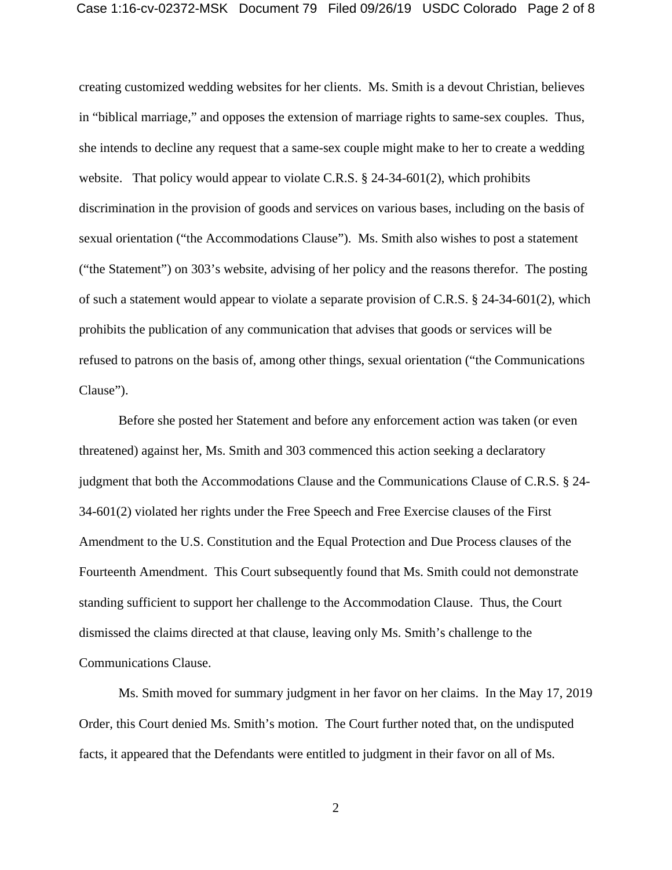creating customized wedding websites for her clients. Ms. Smith is a devout Christian, believes in "biblical marriage," and opposes the extension of marriage rights to same-sex couples. Thus, she intends to decline any request that a same-sex couple might make to her to create a wedding website. That policy would appear to violate C.R.S. § 24-34-601(2), which prohibits discrimination in the provision of goods and services on various bases, including on the basis of sexual orientation ("the Accommodations Clause"). Ms. Smith also wishes to post a statement ("the Statement") on 303's website, advising of her policy and the reasons therefor. The posting of such a statement would appear to violate a separate provision of C.R.S. § 24-34-601(2), which prohibits the publication of any communication that advises that goods or services will be refused to patrons on the basis of, among other things, sexual orientation ("the Communications Clause").

 Before she posted her Statement and before any enforcement action was taken (or even threatened) against her, Ms. Smith and 303 commenced this action seeking a declaratory judgment that both the Accommodations Clause and the Communications Clause of C.R.S. § 24- 34-601(2) violated her rights under the Free Speech and Free Exercise clauses of the First Amendment to the U.S. Constitution and the Equal Protection and Due Process clauses of the Fourteenth Amendment. This Court subsequently found that Ms. Smith could not demonstrate standing sufficient to support her challenge to the Accommodation Clause. Thus, the Court dismissed the claims directed at that clause, leaving only Ms. Smith's challenge to the Communications Clause.

 Ms. Smith moved for summary judgment in her favor on her claims. In the May 17, 2019 Order, this Court denied Ms. Smith's motion. The Court further noted that, on the undisputed facts, it appeared that the Defendants were entitled to judgment in their favor on all of Ms.

2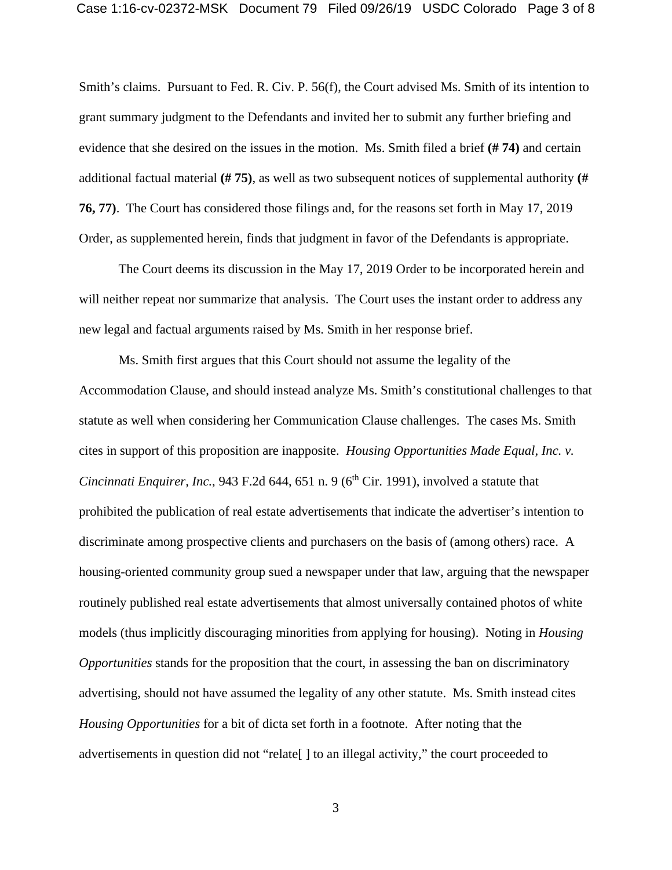Smith's claims. Pursuant to Fed. R. Civ. P. 56(f), the Court advised Ms. Smith of its intention to grant summary judgment to the Defendants and invited her to submit any further briefing and evidence that she desired on the issues in the motion. Ms. Smith filed a brief **(# 74)** and certain additional factual material **(# 75)**, as well as two subsequent notices of supplemental authority **(# 76, 77)**. The Court has considered those filings and, for the reasons set forth in May 17, 2019 Order, as supplemented herein, finds that judgment in favor of the Defendants is appropriate.

 The Court deems its discussion in the May 17, 2019 Order to be incorporated herein and will neither repeat nor summarize that analysis. The Court uses the instant order to address any new legal and factual arguments raised by Ms. Smith in her response brief.

 Ms. Smith first argues that this Court should not assume the legality of the Accommodation Clause, and should instead analyze Ms. Smith's constitutional challenges to that statute as well when considering her Communication Clause challenges. The cases Ms. Smith cites in support of this proposition are inapposite. *Housing Opportunities Made Equal, Inc. v. Cincinnati Enquirer, Inc.*, 943 F.2d 644, 651 n. 9 ( $6<sup>th</sup> Cir.$  1991), involved a statute that prohibited the publication of real estate advertisements that indicate the advertiser's intention to discriminate among prospective clients and purchasers on the basis of (among others) race. A housing-oriented community group sued a newspaper under that law, arguing that the newspaper routinely published real estate advertisements that almost universally contained photos of white models (thus implicitly discouraging minorities from applying for housing). Noting in *Housing Opportunities* stands for the proposition that the court, in assessing the ban on discriminatory advertising, should not have assumed the legality of any other statute. Ms. Smith instead cites *Housing Opportunities* for a bit of dicta set forth in a footnote. After noting that the advertisements in question did not "relate[ ] to an illegal activity," the court proceeded to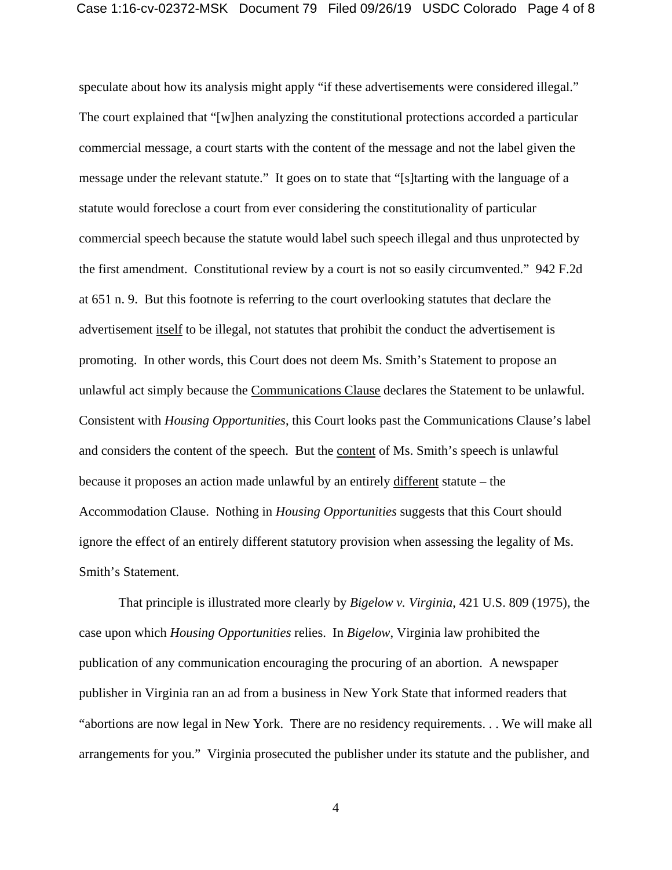speculate about how its analysis might apply "if these advertisements were considered illegal." The court explained that "[w]hen analyzing the constitutional protections accorded a particular commercial message, a court starts with the content of the message and not the label given the message under the relevant statute." It goes on to state that "[s]tarting with the language of a statute would foreclose a court from ever considering the constitutionality of particular commercial speech because the statute would label such speech illegal and thus unprotected by the first amendment. Constitutional review by a court is not so easily circumvented." 942 F.2d at 651 n. 9. But this footnote is referring to the court overlooking statutes that declare the advertisement itself to be illegal, not statutes that prohibit the conduct the advertisement is promoting. In other words, this Court does not deem Ms. Smith's Statement to propose an unlawful act simply because the Communications Clause declares the Statement to be unlawful. Consistent with *Housing Opportunities*, this Court looks past the Communications Clause's label and considers the content of the speech. But the content of Ms. Smith's speech is unlawful because it proposes an action made unlawful by an entirely different statute – the Accommodation Clause. Nothing in *Housing Opportunities* suggests that this Court should ignore the effect of an entirely different statutory provision when assessing the legality of Ms. Smith's Statement.

 That principle is illustrated more clearly by *Bigelow v. Virginia*, 421 U.S. 809 (1975), the case upon which *Housing Opportunities* relies. In *Bigelow*, Virginia law prohibited the publication of any communication encouraging the procuring of an abortion. A newspaper publisher in Virginia ran an ad from a business in New York State that informed readers that "abortions are now legal in New York. There are no residency requirements. . . We will make all arrangements for you." Virginia prosecuted the publisher under its statute and the publisher, and

4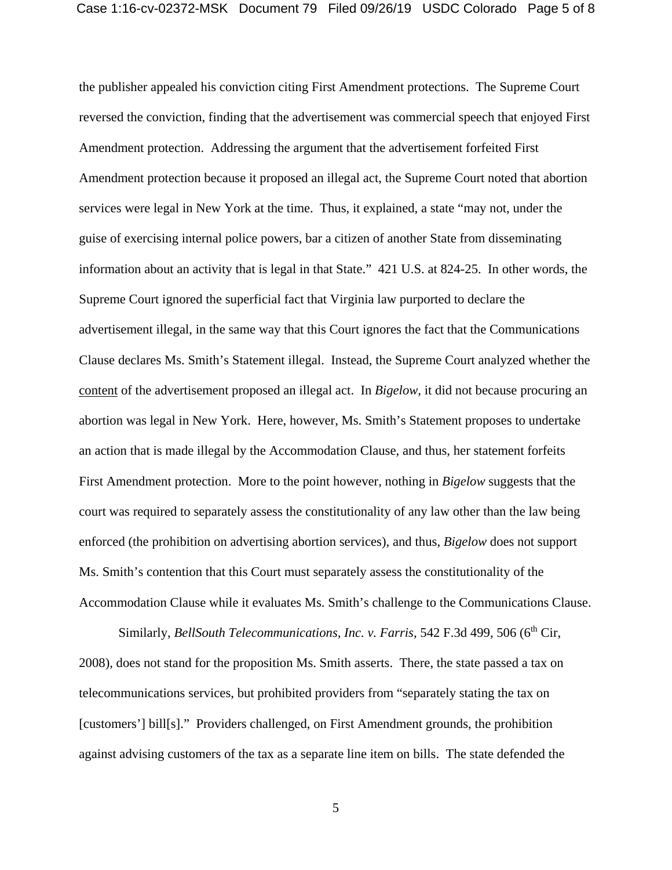the publisher appealed his conviction citing First Amendment protections. The Supreme Court reversed the conviction, finding that the advertisement was commercial speech that enjoyed First Amendment protection. Addressing the argument that the advertisement forfeited First Amendment protection because it proposed an illegal act, the Supreme Court noted that abortion services were legal in New York at the time. Thus, it explained, a state "may not, under the guise of exercising internal police powers, bar a citizen of another State from disseminating information about an activity that is legal in that State." 421 U.S. at 824-25. In other words, the Supreme Court ignored the superficial fact that Virginia law purported to declare the advertisement illegal, in the same way that this Court ignores the fact that the Communications Clause declares Ms. Smith's Statement illegal. Instead, the Supreme Court analyzed whether the content of the advertisement proposed an illegal act. In *Bigelow*, it did not because procuring an abortion was legal in New York. Here, however, Ms. Smith's Statement proposes to undertake an action that is made illegal by the Accommodation Clause, and thus, her statement forfeits First Amendment protection. More to the point however, nothing in *Bigelow* suggests that the court was required to separately assess the constitutionality of any law other than the law being enforced (the prohibition on advertising abortion services), and thus, *Bigelow* does not support Ms. Smith's contention that this Court must separately assess the constitutionality of the Accommodation Clause while it evaluates Ms. Smith's challenge to the Communications Clause.

Similarly, *BellSouth Telecommunications, Inc. v. Farris*, 542 F.3d 499, 506 (6<sup>th</sup> Cir, 2008), does not stand for the proposition Ms. Smith asserts. There, the state passed a tax on telecommunications services, but prohibited providers from "separately stating the tax on [customers'] bill[s]." Providers challenged, on First Amendment grounds, the prohibition against advising customers of the tax as a separate line item on bills. The state defended the

5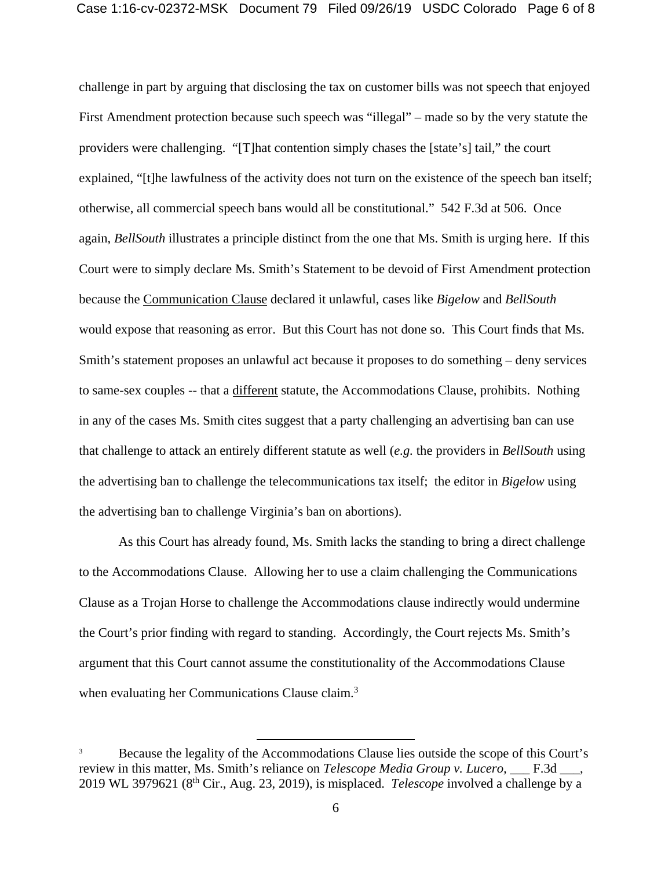challenge in part by arguing that disclosing the tax on customer bills was not speech that enjoyed First Amendment protection because such speech was "illegal" – made so by the very statute the providers were challenging. "[T]hat contention simply chases the [state's] tail," the court explained, "[t]he lawfulness of the activity does not turn on the existence of the speech ban itself; otherwise, all commercial speech bans would all be constitutional." 542 F.3d at 506. Once again, *BellSouth* illustrates a principle distinct from the one that Ms. Smith is urging here. If this Court were to simply declare Ms. Smith's Statement to be devoid of First Amendment protection because the Communication Clause declared it unlawful, cases like *Bigelow* and *BellSouth* would expose that reasoning as error. But this Court has not done so. This Court finds that Ms. Smith's statement proposes an unlawful act because it proposes to do something – deny services to same-sex couples -- that a different statute, the Accommodations Clause, prohibits. Nothing in any of the cases Ms. Smith cites suggest that a party challenging an advertising ban can use that challenge to attack an entirely different statute as well (*e.g.* the providers in *BellSouth* using the advertising ban to challenge the telecommunications tax itself; the editor in *Bigelow* using the advertising ban to challenge Virginia's ban on abortions).

 As this Court has already found, Ms. Smith lacks the standing to bring a direct challenge to the Accommodations Clause. Allowing her to use a claim challenging the Communications Clause as a Trojan Horse to challenge the Accommodations clause indirectly would undermine the Court's prior finding with regard to standing. Accordingly, the Court rejects Ms. Smith's argument that this Court cannot assume the constitutionality of the Accommodations Clause when evaluating her Communications Clause claim.<sup>3</sup>

<sup>&</sup>lt;sup>3</sup><br>Because the legality of the Accommodations Clause lies outside the scope of this Court's review in this matter, Ms. Smith's reliance on *Telescope Media Group v. Lucero*, F.3d  $\blacksquare$ , 2019 WL 3979621 (8th Cir., Aug. 23, 2019), is misplaced. *Telescope* involved a challenge by a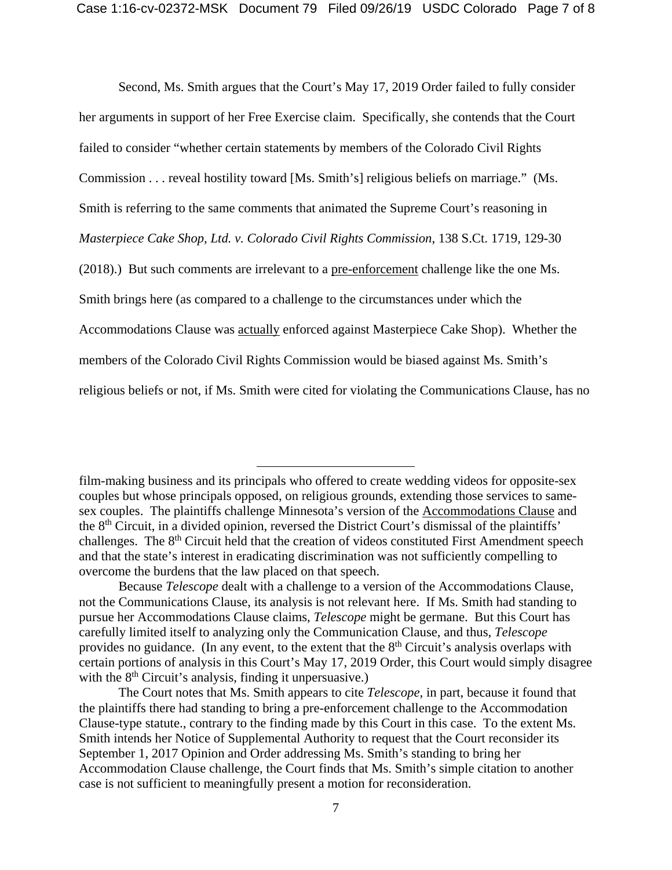Second, Ms. Smith argues that the Court's May 17, 2019 Order failed to fully consider her arguments in support of her Free Exercise claim. Specifically, she contends that the Court failed to consider "whether certain statements by members of the Colorado Civil Rights Commission . . . reveal hostility toward [Ms. Smith's] religious beliefs on marriage." (Ms. Smith is referring to the same comments that animated the Supreme Court's reasoning in *Masterpiece Cake Shop, Ltd. v. Colorado Civil Rights Commission*, 138 S.Ct. 1719, 129-30 (2018).) But such comments are irrelevant to a pre-enforcement challenge like the one Ms. Smith brings here (as compared to a challenge to the circumstances under which the Accommodations Clause was actually enforced against Masterpiece Cake Shop). Whether the members of the Colorado Civil Rights Commission would be biased against Ms. Smith's religious beliefs or not, if Ms. Smith were cited for violating the Communications Clause, has no

 $\overline{a}$ 

film-making business and its principals who offered to create wedding videos for opposite-sex couples but whose principals opposed, on religious grounds, extending those services to samesex couples. The plaintiffs challenge Minnesota's version of the Accommodations Clause and the 8th Circuit, in a divided opinion, reversed the District Court's dismissal of the plaintiffs' challenges. The 8<sup>th</sup> Circuit held that the creation of videos constituted First Amendment speech and that the state's interest in eradicating discrimination was not sufficiently compelling to overcome the burdens that the law placed on that speech.

Because *Telescope* dealt with a challenge to a version of the Accommodations Clause, not the Communications Clause, its analysis is not relevant here. If Ms. Smith had standing to pursue her Accommodations Clause claims, *Telescope* might be germane. But this Court has carefully limited itself to analyzing only the Communication Clause, and thus, *Telescope*  provides no guidance. (In any event, to the extent that the  $8<sup>th</sup>$  Circuit's analysis overlaps with certain portions of analysis in this Court's May 17, 2019 Order, this Court would simply disagree with the  $8<sup>th</sup>$  Circuit's analysis, finding it unpersuasive.)

The Court notes that Ms. Smith appears to cite *Telescope,* in part, because it found that the plaintiffs there had standing to bring a pre-enforcement challenge to the Accommodation Clause-type statute., contrary to the finding made by this Court in this case. To the extent Ms. Smith intends her Notice of Supplemental Authority to request that the Court reconsider its September 1, 2017 Opinion and Order addressing Ms. Smith's standing to bring her Accommodation Clause challenge, the Court finds that Ms. Smith's simple citation to another case is not sufficient to meaningfully present a motion for reconsideration.